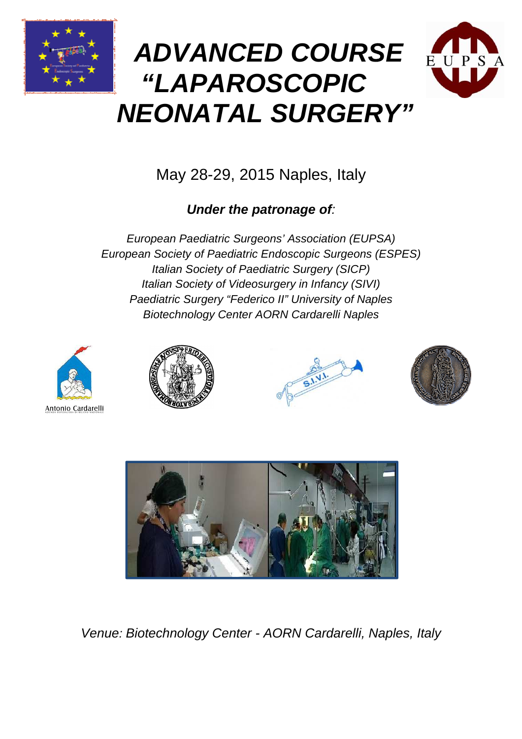





# May 28-29, 2015 Naples, Italy

## **Under the patronage of** :

European Paediatric Surgeons' Association (EUPSA) European Society of Paediatric Endoscopic Surgeons (ESPES) Italian Society of P Paediatric Surgery (SICP) Italian Society of Videosurgery in Infancy (SIVI) Paediatric Surgery "Federico II" University of Naples Biotechnology Center AORN Cardarelli Naples











Venue: Biotechnology Center - AORN Cardarelli, Naples, Italy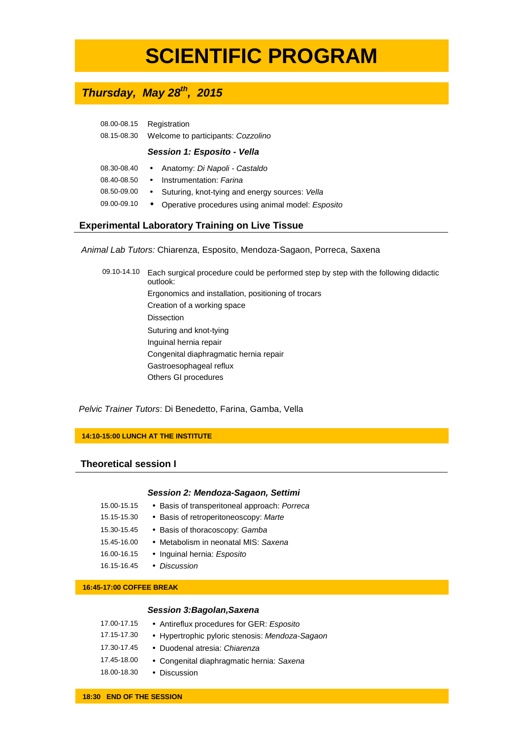# **SCIENTIFIC PROGRAM**

### **Thursday, May 28th, 2015**

| 08.00-08.15 | Registration                       |
|-------------|------------------------------------|
| 08.15-08.30 | Welcome to participants: Cozzolino |

### **Session 1: Esposito - Vella**

|  | 08.30-08.40 • Anatomy: Di Napoli - Castaldo                  |
|--|--------------------------------------------------------------|
|  | 08.40-08.50 • Instrumentation: Farina                        |
|  | 08.50-09.00 • Suturing, knot-tying and energy sources: Vella |

09.00-09.10 • Operative procedures using animal model: Esposito

### **Experimental Laboratory Training on Live Tissue**

Animal Lab Tutors: Chiarenza, Esposito, Mendoza-Sagaon, Porreca, Saxena

09.10-14.10 Each surgical procedure could be performed step by step with the following didactic outlook: Ergonomics and installation, positioning of trocars Creation of a working space Dissection Suturing and knot-tying Inguinal hernia repair Congenital diaphragmatic hernia repair Gastroesophageal reflux Others GI procedures

Pelvic Trainer Tutors: Di Benedetto, Farina, Gamba, Vella

**14:10-15:00 LUNCH AT THE INSTITUTE** 

### **Theoretical session I**

### **Session 2: Mendoza-Sagaon, Settimi**

- 15.00-15.15 Basis of transperitoneal approach: Porreca
- 15.15-15.30 Basis of retroperitoneoscopy: Marte
- 
- 15.30-15.45 Basis of thoracoscopy: Gamba
- 15.45-16.00 Metabolism in neonatal MIS: Saxena
- 16.00-16.15 Inguinal hernia: Esposito
- 16.15-16.45 Discussion

### **16:45-17:00 COFFEE BREAK**

### **Session 3:Bagolan,Saxena**

| 17.00-17.15 | • Antireflux procedures for GER: Esposito       |
|-------------|-------------------------------------------------|
| 17.15-17.30 | • Hypertrophic pyloric stenosis: Mendoza-Sagaon |
| 17.30-17.45 | • Duodenal atresia: Chiarenza                   |
| 17.45-18.00 | • Congenital diaphragmatic hernia: Saxena       |
| 18.00-18.30 | • Discussion                                    |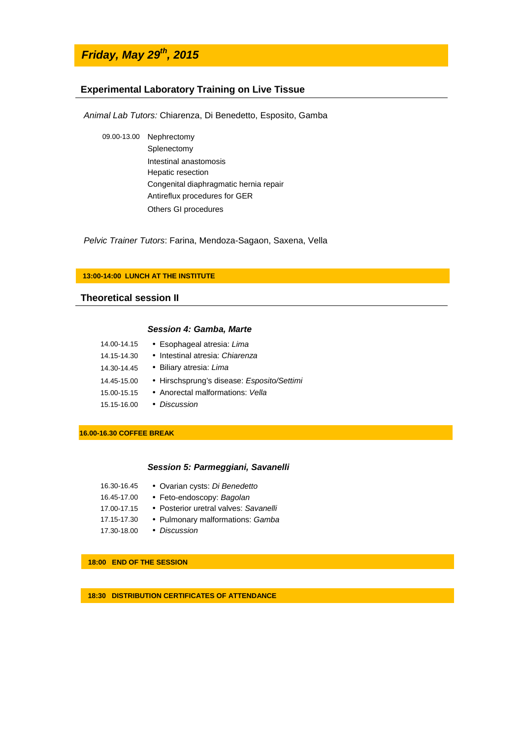### **Friday, May 29th, 2015**

### **Experimental Laboratory Training on Live Tissue**

Animal Lab Tutors: Chiarenza, Di Benedetto, Esposito, Gamba

09.00-13.00 Nephrectomy Splenectomy Intestinal anastomosis Hepatic resection Congenital diaphragmatic hernia repair Antireflux procedures for GER Others GI procedures

Pelvic Trainer Tutors: Farina, Mendoza-Sagaon, Saxena, Vella

#### **13:00-14:00 LUNCH AT THE INSTITUTE**

### **Theoretical session II**

#### **Session 4: Gamba, Marte**

| 14.00-14.15 | • Esophageal atresia: Lima                 |
|-------------|--------------------------------------------|
| 14.15-14.30 | • Intestinal atresia: Chiarenza            |
| 14.30-14.45 | • Biliary atresia: Lima                    |
| 14.45-15.00 | • Hirschsprung's disease: Esposito/Settimi |
| 15.00-15.15 | • Anorectal malformations: Vella           |
| 15.15-16.00 | • Discussion                               |

**16.00-16.30 COFFEE BREAK**

### **Session 5: Parmeggiani, Savanelli**

| 16.30-16.45 | • Ovarian cysts: Di Benedetto         |
|-------------|---------------------------------------|
| 16.45-17.00 | • Feto-endoscopy: Bagolan             |
| 17.00-17.15 | • Posterior uretral valves: Savanelli |
| 17.15-17.30 | • Pulmonary malformations: Gamba      |
| 17.30-18.00 | • Discussion                          |

**18:00 END OF THE SESSION**

**18:30 DISTRIBUTION CERTIFICATES OF ATTENDANCE**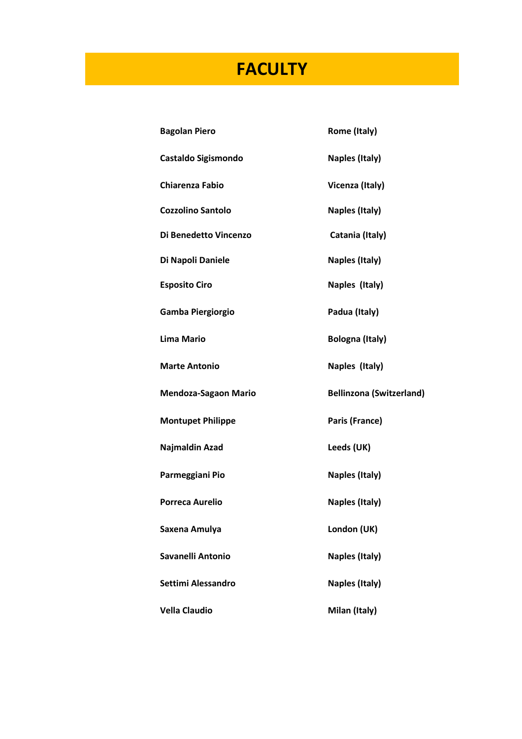# **FACULTY**

| <b>Bagolan Piero</b>        | Rome (Italy)                    |
|-----------------------------|---------------------------------|
| <b>Castaldo Sigismondo</b>  | <b>Naples (Italy)</b>           |
| <b>Chiarenza Fabio</b>      | Vicenza (Italy)                 |
| <b>Cozzolino Santolo</b>    | Naples (Italy)                  |
| Di Benedetto Vincenzo       | Catania (Italy)                 |
| Di Napoli Daniele           | <b>Naples (Italy)</b>           |
| <b>Esposito Ciro</b>        | Naples (Italy)                  |
| Gamba Piergiorgio           | Padua (Italy)                   |
| <b>Lima Mario</b>           | <b>Bologna (Italy)</b>          |
| <b>Marte Antonio</b>        | Naples (Italy)                  |
| <b>Mendoza-Sagaon Mario</b> | <b>Bellinzona (Switzerland)</b> |
|                             |                                 |
| <b>Montupet Philippe</b>    | Paris (France)                  |
| Najmaldin Azad              | Leeds (UK)                      |
| Parmeggiani Pio             | <b>Naples (Italy)</b>           |
| <b>Porreca Aurelio</b>      | <b>Naples (Italy)</b>           |
| Saxena Amulya               | London (UK)                     |
| Savanelli Antonio           | <b>Naples (Italy)</b>           |
| Settimi Alessandro          | Naples (Italy)                  |